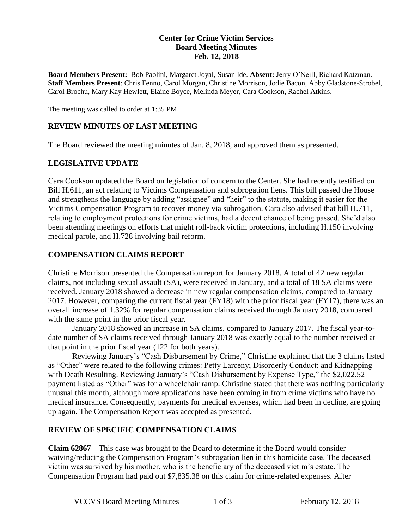#### **Center for Crime Victim Services Board Meeting Minutes Feb. 12, 2018**

**Board Members Present:** Bob Paolini, Margaret Joyal, Susan Ide. **Absent:** Jerry O'Neill, Richard Katzman. **Staff Members Present**: Chris Fenno, Carol Morgan, Christine Morrison, Jodie Bacon, Abby Gladstone-Strobel, Carol Brochu, Mary Kay Hewlett, Elaine Boyce, Melinda Meyer, Cara Cookson, Rachel Atkins.

The meeting was called to order at 1:35 PM.

#### **REVIEW MINUTES OF LAST MEETING**

The Board reviewed the meeting minutes of Jan. 8, 2018, and approved them as presented.

## **LEGISLATIVE UPDATE**

Cara Cookson updated the Board on legislation of concern to the Center. She had recently testified on Bill H.611, an act relating to Victims Compensation and subrogation liens. This bill passed the House and strengthens the language by adding "assignee" and "heir" to the statute, making it easier for the Victims Compensation Program to recover money via subrogation. Cara also advised that bill H.711, relating to employment protections for crime victims, had a decent chance of being passed. She'd also been attending meetings on efforts that might roll-back victim protections, including H.150 involving medical parole, and H.728 involving bail reform.

## **COMPENSATION CLAIMS REPORT**

Christine Morrison presented the Compensation report for January 2018. A total of 42 new regular claims, not including sexual assault (SA), were received in January, and a total of 18 SA claims were received. January 2018 showed a decrease in new regular compensation claims, compared to January 2017. However, comparing the current fiscal year (FY18) with the prior fiscal year (FY17), there was an overall increase of 1.32% for regular compensation claims received through January 2018, compared with the same point in the prior fiscal year.

January 2018 showed an increase in SA claims, compared to January 2017. The fiscal year-todate number of SA claims received through January 2018 was exactly equal to the number received at that point in the prior fiscal year (122 for both years).

Reviewing January's "Cash Disbursement by Crime," Christine explained that the 3 claims listed as "Other" were related to the following crimes: Petty Larceny; Disorderly Conduct; and Kidnapping with Death Resulting. Reviewing January's "Cash Disbursement by Expense Type," the \$2,022.52 payment listed as "Other" was for a wheelchair ramp. Christine stated that there was nothing particularly unusual this month, although more applications have been coming in from crime victims who have no medical insurance. Consequently, payments for medical expenses, which had been in decline, are going up again. The Compensation Report was accepted as presented.

#### **REVIEW OF SPECIFIC COMPENSATION CLAIMS**

**Claim 62867 –** This case was brought to the Board to determine if the Board would consider waiving/reducing the Compensation Program's subrogation lien in this homicide case. The deceased victim was survived by his mother, who is the beneficiary of the deceased victim's estate. The Compensation Program had paid out \$7,835.38 on this claim for crime-related expenses. After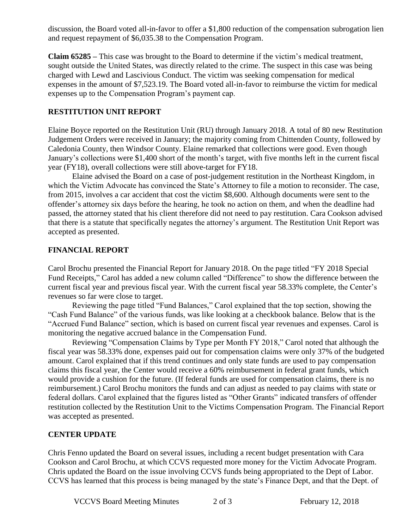discussion, the Board voted all-in-favor to offer a \$1,800 reduction of the compensation subrogation lien and request repayment of \$6,035.38 to the Compensation Program.

**Claim 65285 –** This case was brought to the Board to determine if the victim's medical treatment, sought outside the United States, was directly related to the crime. The suspect in this case was being charged with Lewd and Lascivious Conduct. The victim was seeking compensation for medical expenses in the amount of \$7,523.19. The Board voted all-in-favor to reimburse the victim for medical expenses up to the Compensation Program's payment cap.

## **RESTITUTION UNIT REPORT**

Elaine Boyce reported on the Restitution Unit (RU) through January 2018. A total of 80 new Restitution Judgement Orders were received in January; the majority coming from Chittenden County, followed by Caledonia County, then Windsor County. Elaine remarked that collections were good. Even though January's collections were \$1,400 short of the month's target, with five months left in the current fiscal year (FY18), overall collections were still above-target for FY18.

Elaine advised the Board on a case of post-judgement restitution in the Northeast Kingdom, in which the Victim Advocate has convinced the State's Attorney to file a motion to reconsider. The case, from 2015, involves a car accident that cost the victim \$8,600. Although documents were sent to the offender's attorney six days before the hearing, he took no action on them, and when the deadline had passed, the attorney stated that his client therefore did not need to pay restitution. Cara Cookson advised that there is a statute that specifically negates the attorney's argument. The Restitution Unit Report was accepted as presented.

## **FINANCIAL REPORT**

Carol Brochu presented the Financial Report for January 2018. On the page titled "FY 2018 Special Fund Receipts," Carol has added a new column called "Difference" to show the difference between the current fiscal year and previous fiscal year. With the current fiscal year 58.33% complete, the Center's revenues so far were close to target.

Reviewing the page titled "Fund Balances," Carol explained that the top section, showing the "Cash Fund Balance" of the various funds, was like looking at a checkbook balance. Below that is the "Accrued Fund Balance" section, which is based on current fiscal year revenues and expenses. Carol is monitoring the negative accrued balance in the Compensation Fund.

Reviewing "Compensation Claims by Type per Month FY 2018," Carol noted that although the fiscal year was 58.33% done, expenses paid out for compensation claims were only 37% of the budgeted amount. Carol explained that if this trend continues and only state funds are used to pay compensation claims this fiscal year, the Center would receive a 60% reimbursement in federal grant funds, which would provide a cushion for the future. (If federal funds are used for compensation claims, there is no reimbursement.) Carol Brochu monitors the funds and can adjust as needed to pay claims with state or federal dollars. Carol explained that the figures listed as "Other Grants" indicated transfers of offender restitution collected by the Restitution Unit to the Victims Compensation Program. The Financial Report was accepted as presented.

#### **CENTER UPDATE**

Chris Fenno updated the Board on several issues, including a recent budget presentation with Cara Cookson and Carol Brochu, at which CCVS requested more money for the Victim Advocate Program. Chris updated the Board on the issue involving CCVS funds being appropriated to the Dept of Labor. CCVS has learned that this process is being managed by the state's Finance Dept, and that the Dept. of